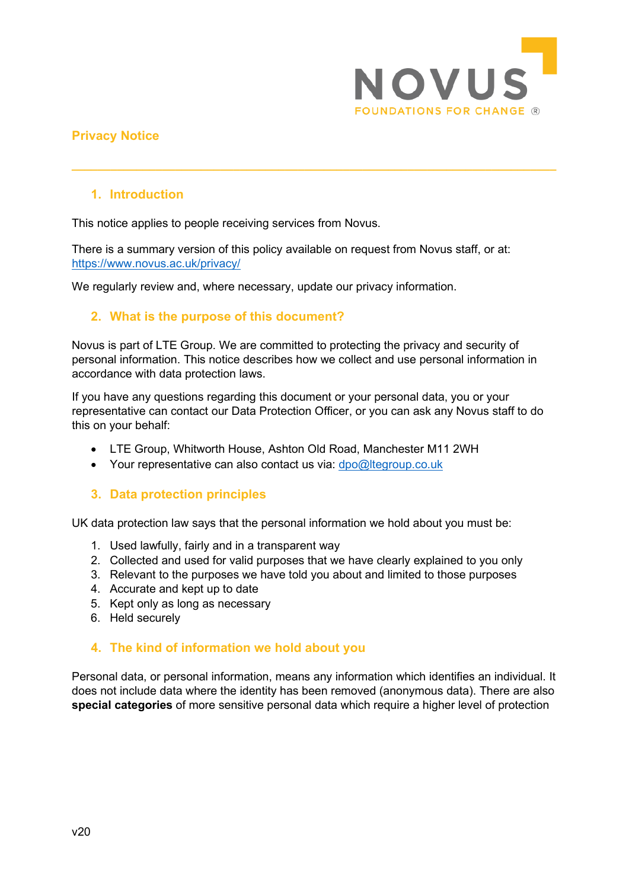

# **Privacy Notice**

# **1. Introduction**

This notice applies to people receiving services from Novus.

There is a summary version of this policy available on request from Novus staff, or at: <https://www.novus.ac.uk/privacy/>

<span id="page-0-1"></span>**\_\_\_\_\_\_\_\_\_\_\_\_\_\_\_\_\_\_\_\_\_\_\_\_\_\_\_\_\_\_\_\_\_\_\_\_\_\_\_\_\_\_\_\_\_\_\_\_\_\_\_\_\_\_\_\_\_\_\_\_\_\_\_\_\_\_\_\_\_\_\_\_\_\_\_**

We regularly review and, where necessary, update our privacy information.

# <span id="page-0-0"></span>**2. What is the purpose of this document?**

Novus is part of LTE Group. We are committed to protecting the privacy and security of personal information. This notice describes how we collect and use personal information in accordance with data protection laws.

If you have any questions regarding this document or your personal data, you or your representative can contact our Data Protection Officer, or you can ask any Novus staff to do this on your behalf:

- LTE Group, Whitworth House, Ashton Old Road, Manchester M11 2WH
- Your representative can also contact us via: [dpo@ltegroup.co.uk](mailto:dpo@ltegroup.co.uk)

# **3. Data protection principles**

UK data protection law says that the personal information we hold about you must be:

- 1. Used lawfully, fairly and in a transparent way
- 2. Collected and used for valid purposes that we have clearly explained to you only
- 3. Relevant to the purposes we have told you about and limited to those purposes
- 4. Accurate and kept up to date
- 5. Kept only as long as necessary
- 6. Held securely

#### **4. The kind of information we hold about you**

Personal data, or personal information, means any information which identifies an individual. It does not include data where the identity has been removed (anonymous data). There are also **special categories** of more sensitive personal data which require a higher level of protection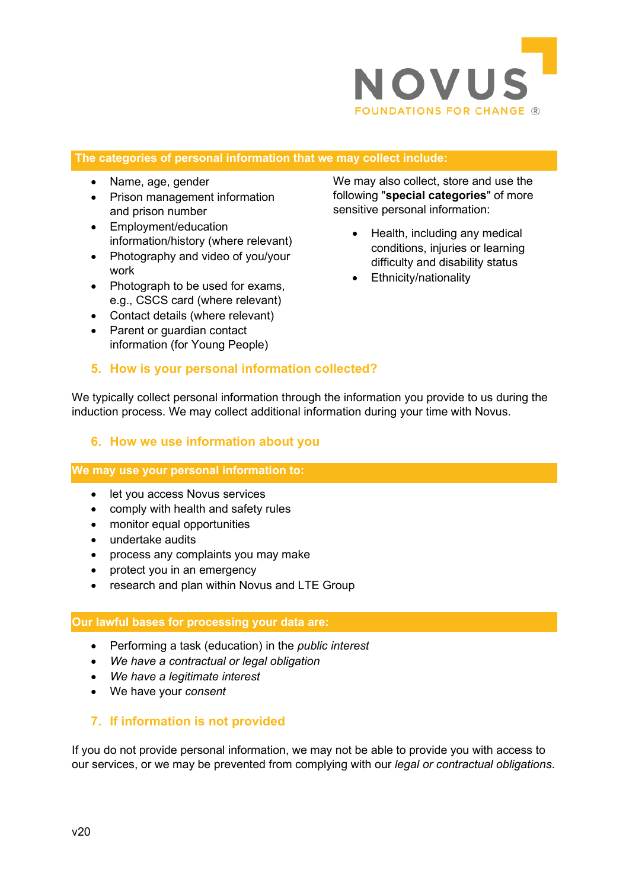

#### **The categories of personal information that we may collect include:**

- Name, age, gender
- Prison management information and prison number
- Employment/education information/history (where relevant)
- Photography and video of you/your work
- Photograph to be used for exams, e.g., CSCS card (where relevant)
- Contact details (where relevant)
- Parent or guardian contact information (for Young People)

We may also collect, store and use the following "**special categories**" of more sensitive personal information:

- Health, including any medical conditions, injuries or learning difficulty and disability status
- Ethnicity/nationality

#### **5. How is your personal information collected?**

We typically collect personal information through the information you provide to us during the induction process. We may collect additional information during your time with Novus.

#### **6. How we use information about you**

#### **We may use your personal information to:**

- let you access Novus services
- comply with health and safety rules
- monitor equal opportunities
- undertake audits
- process any complaints you may make
- protect you in an emergency
- research and plan within Novus and LTE Group

#### **Our lawful bases for processing your data are:**

- Performing a task (education) in the *public interest*
- *We have a contractual or legal obligation*
- *We have a legitimate interest*
- We have your *consent*

#### **7. If information is not provided**

If you do not provide personal information, we may not be able to provide you with access to our services, or we may be prevented from complying with our *legal or contractual obligations*.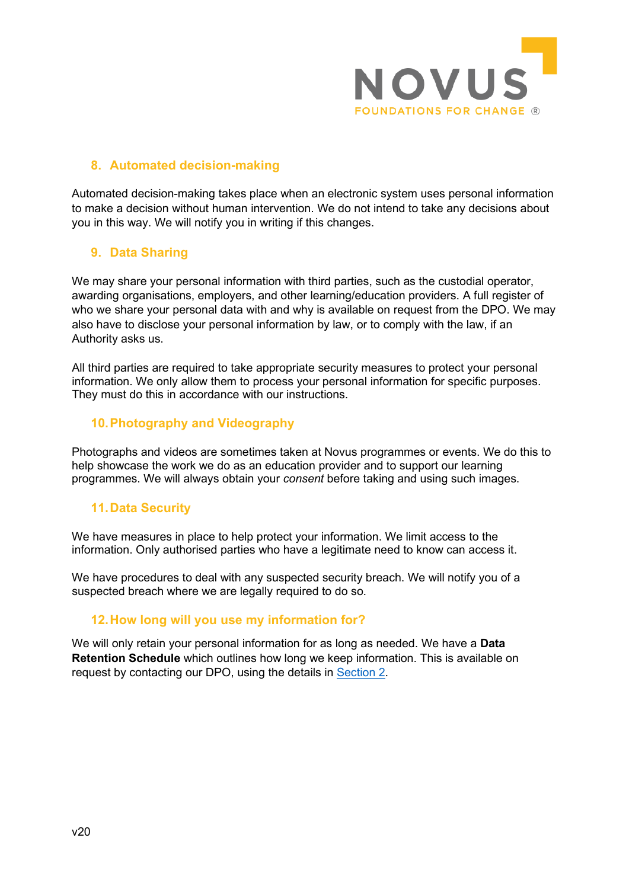

# **8. Automated decision-making**

Automated decision-making takes place when an electronic system uses personal information to make a decision without human intervention. We do not intend to take any decisions about you in this way. We will notify you in writing if this changes.

# **9. Data Sharing**

We may share your personal information with third parties, such as the custodial operator, awarding organisations, employers, and other learning/education providers. A full register of who we share your personal data with and why is available on request from the DPO. We may also have to disclose your personal information by law, or to comply with the law, if an Authority asks us.

All third parties are required to take appropriate security measures to protect your personal information. We only allow them to process your personal information for specific purposes. They must do this in accordance with our instructions.

# **10.Photography and Videography**

Photographs and videos are sometimes taken at Novus programmes or events. We do this to help showcase the work we do as an education provider and to support our learning programmes. We will always obtain your *consent* before taking and using such images.

# **11.Data Security**

We have measures in place to help protect your information. We limit access to the information. Only authorised parties who have a legitimate need to know can access it.

We have procedures to deal with any suspected security breach. We will notify you of a suspected breach where we are legally required to do so.

# **12.How long will you use my information for?**

We will only retain your personal information for as long as needed. We have a **Data Retention Schedule** which outlines how long we keep information. This is available on request by contacting our DPO, using the details in [Section 2.](#page-0-0)